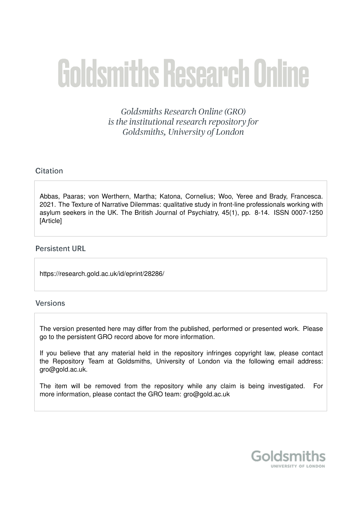# **Goldsmiths Research Online**

Goldsmiths Research Online (GRO) is the institutional research repository for Goldsmiths, University of London

# Citation

Abbas, Paaras; von Werthern, Martha; Katona, Cornelius; Woo, Yeree and Brady, Francesca. 2021. The Texture of Narrative Dilemmas: qualitative study in front-line professionals working with asylum seekers in the UK. The British Journal of Psychiatry, 45(1), pp. 8-14. ISSN 0007-1250 [Article]

# **Persistent URL**

https://research.gold.ac.uk/id/eprint/28286/

# **Versions**

The version presented here may differ from the published, performed or presented work. Please go to the persistent GRO record above for more information.

If you believe that any material held in the repository infringes copyright law, please contact the Repository Team at Goldsmiths, University of London via the following email address: gro@gold.ac.uk.

The item will be removed from the repository while any claim is being investigated. For more information, please contact the GRO team: gro@gold.ac.uk

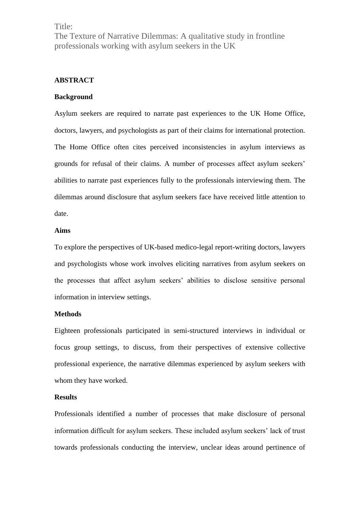Title:

The Texture of Narrative Dilemmas: A qualitative study in frontline professionals working with asylum seekers in the UK

## **ABSTRACT**

#### **Background**

Asylum seekers are required to narrate past experiences to the UK Home Office, doctors, lawyers, and psychologists as part of their claims for international protection. The Home Office often cites perceived inconsistencies in asylum interviews as grounds for refusal of their claims. A number of processes affect asylum seekers' abilities to narrate past experiences fully to the professionals interviewing them. The dilemmas around disclosure that asylum seekers face have received little attention to date.

#### **Aims**

To explore the perspectives of UK-based medico-legal report-writing doctors, lawyers and psychologists whose work involves eliciting narratives from asylum seekers on the processes that affect asylum seekers' abilities to disclose sensitive personal information in interview settings.

#### **Methods**

Eighteen professionals participated in semi-structured interviews in individual or focus group settings, to discuss, from their perspectives of extensive collective professional experience, the narrative dilemmas experienced by asylum seekers with whom they have worked.

## **Results**

Professionals identified a number of processes that make disclosure of personal information difficult for asylum seekers. These included asylum seekers' lack of trust towards professionals conducting the interview, unclear ideas around pertinence of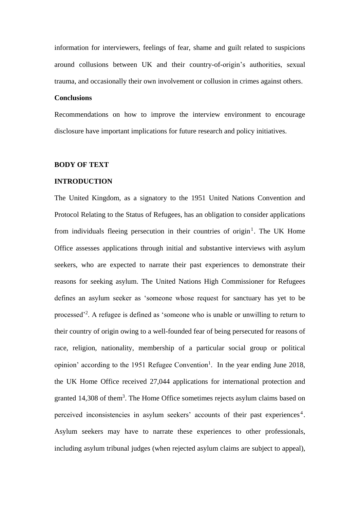information for interviewers, feelings of fear, shame and guilt related to suspicions around collusions between UK and their country-of-origin's authorities, sexual trauma, and occasionally their own involvement or collusion in crimes against others.

#### **Conclusions**

Recommendations on how to improve the interview environment to encourage disclosure have important implications for future research and policy initiatives.

#### **BODY OF TEXT**

#### **INTRODUCTION**

The United Kingdom, as a signatory to the 1951 United Nations Convention and Protocol Relating to the Status of Refugees, has an obligation to consider applications from individuals fleeing persecution in their countries of origin<sup>1</sup>. The UK Home Office assesses applications through initial and substantive interviews with asylum seekers, who are expected to narrate their past experiences to demonstrate their reasons for seeking asylum. The United Nations High Commissioner for Refugees defines an asylum seeker as 'someone whose request for sanctuary has yet to be processed<sup>'2</sup>. A refugee is defined as 'someone who is unable or unwilling to return to their country of origin owing to a well-founded fear of being persecuted for reasons of race, religion, nationality, membership of a particular social group or political opinion' according to the 1951 Refugee Convention<sup>1</sup>. In the year ending June 2018, the UK Home Office received 27,044 applications for international protection and granted 14,308 of them<sup>3</sup>. The Home Office sometimes rejects asylum claims based on perceived inconsistencies in asylum seekers' accounts of their past experiences<sup>4</sup>. Asylum seekers may have to narrate these experiences to other professionals, including asylum tribunal judges (when rejected asylum claims are subject to appeal),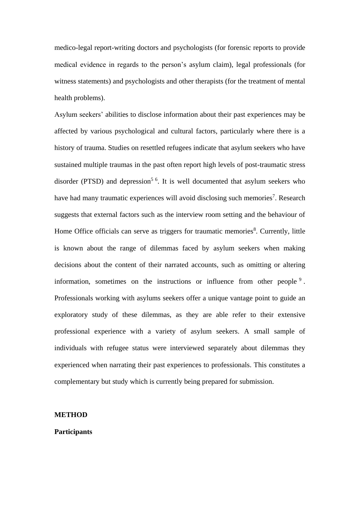medico-legal report-writing doctors and psychologists (for forensic reports to provide medical evidence in regards to the person's asylum claim), legal professionals (for witness statements) and psychologists and other therapists (for the treatment of mental health problems).

Asylum seekers' abilities to disclose information about their past experiences may be affected by various psychological and cultural factors, particularly where there is a history of trauma. Studies on resettled refugees indicate that asylum seekers who have sustained multiple traumas in the past often report high levels of post-traumatic stress disorder (PTSD) and depression<sup>56</sup>. It is well documented that asylum seekers who have had many traumatic experiences will avoid disclosing such memories<sup>7</sup>. Research suggests that external factors such as the interview room setting and the behaviour of Home Office officials can serve as triggers for traumatic memories<sup>8</sup>. Currently, little is known about the range of dilemmas faced by asylum seekers when making decisions about the content of their narrated accounts, such as omitting or altering information, sometimes on the instructions or influence from other people<sup>9</sup>. Professionals working with asylums seekers offer a unique vantage point to guide an exploratory study of these dilemmas, as they are able refer to their extensive professional experience with a variety of asylum seekers. A small sample of individuals with refugee status were interviewed separately about dilemmas they experienced when narrating their past experiences to professionals. This constitutes a complementary but study which is currently being prepared for submission.

## **METHOD**

#### **Participants**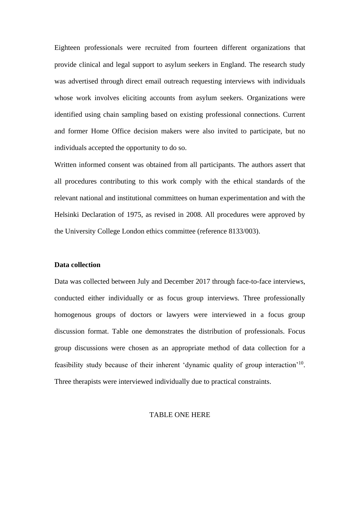Eighteen professionals were recruited from fourteen different organizations that provide clinical and legal support to asylum seekers in England. The research study was advertised through direct email outreach requesting interviews with individuals whose work involves eliciting accounts from asylum seekers. Organizations were identified using chain sampling based on existing professional connections. Current and former Home Office decision makers were also invited to participate, but no individuals accepted the opportunity to do so.

Written informed consent was obtained from all participants. The authors assert that all procedures contributing to this work comply with the ethical standards of the relevant national and institutional committees on human experimentation and with the Helsinki Declaration of 1975, as revised in 2008. All procedures were approved by the University College London ethics committee (reference 8133/003).

#### **Data collection**

Data was collected between July and December 2017 through face-to-face interviews, conducted either individually or as focus group interviews. Three professionally homogenous groups of doctors or lawyers were interviewed in a focus group discussion format. Table one demonstrates the distribution of professionals. Focus group discussions were chosen as an appropriate method of data collection for a feasibility study because of their inherent 'dynamic quality of group interaction'<sup>10</sup>. Three therapists were interviewed individually due to practical constraints.

## TABLE ONE HERE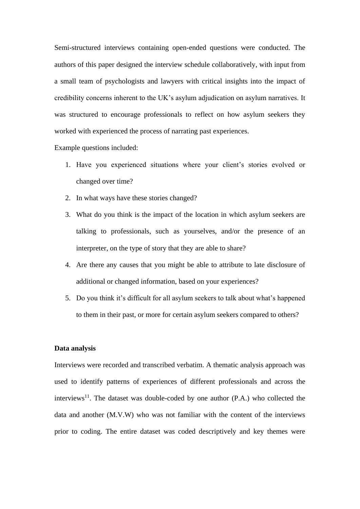Semi-structured interviews containing open-ended questions were conducted. The authors of this paper designed the interview schedule collaboratively, with input from a small team of psychologists and lawyers with critical insights into the impact of credibility concerns inherent to the UK's asylum adjudication on asylum narratives. It was structured to encourage professionals to reflect on how asylum seekers they worked with experienced the process of narrating past experiences.

Example questions included:

- 1. Have you experienced situations where your client's stories evolved or changed over time?
- 2. In what ways have these stories changed?
- 3. What do you think is the impact of the location in which asylum seekers are talking to professionals, such as yourselves, and/or the presence of an interpreter, on the type of story that they are able to share?
- 4. Are there any causes that you might be able to attribute to late disclosure of additional or changed information, based on your experiences?
- 5. Do you think it's difficult for all asylum seekers to talk about what's happened to them in their past, or more for certain asylum seekers compared to others?

#### **Data analysis**

Interviews were recorded and transcribed verbatim. A thematic analysis approach was used to identify patterns of experiences of different professionals and across the interviews<sup>11</sup>. The dataset was double-coded by one author  $(P.A.)$  who collected the data and another (M.V.W) who was not familiar with the content of the interviews prior to coding. The entire dataset was coded descriptively and key themes were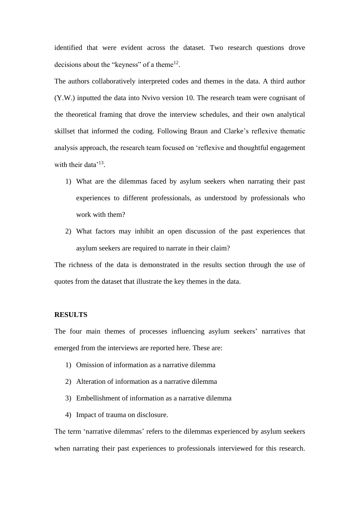identified that were evident across the dataset. Two research questions drove decisions about the "keyness" of a theme $12$ .

The authors collaboratively interpreted codes and themes in the data. A third author (Y.W.) inputted the data into Nvivo version 10. The research team were cognisant of the theoretical framing that drove the interview schedules, and their own analytical skillset that informed the coding. Following Braun and Clarke's reflexive thematic analysis approach, the research team focused on 'reflexive and thoughtful engagement with their data<sup>'13</sup>.

- 1) What are the dilemmas faced by asylum seekers when narrating their past experiences to different professionals, as understood by professionals who work with them?
- 2) What factors may inhibit an open discussion of the past experiences that asylum seekers are required to narrate in their claim?

The richness of the data is demonstrated in the results section through the use of quotes from the dataset that illustrate the key themes in the data.

## **RESULTS**

The four main themes of processes influencing asylum seekers' narratives that emerged from the interviews are reported here. These are:

- 1) Omission of information as a narrative dilemma
- 2) Alteration of information as a narrative dilemma
- 3) Embellishment of information as a narrative dilemma
- 4) Impact of trauma on disclosure.

The term 'narrative dilemmas' refers to the dilemmas experienced by asylum seekers when narrating their past experiences to professionals interviewed for this research.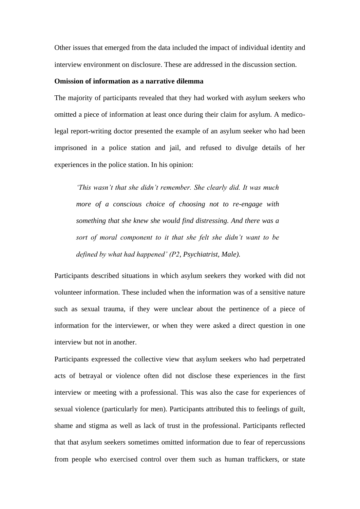Other issues that emerged from the data included the impact of individual identity and interview environment on disclosure. These are addressed in the discussion section.

#### **Omission of information as a narrative dilemma**

The majority of participants revealed that they had worked with asylum seekers who omitted a piece of information at least once during their claim for asylum. A medicolegal report-writing doctor presented the example of an asylum seeker who had been imprisoned in a police station and jail, and refused to divulge details of her experiences in the police station. In his opinion:

*'This wasn't that she didn't remember. She clearly did. It was much more of a conscious choice of choosing not to re-engage with something that she knew she would find distressing. And there was a sort of moral component to it that she felt she didn't want to be defined by what had happened' (P2, Psychiatrist, Male).*

Participants described situations in which asylum seekers they worked with did not volunteer information. These included when the information was of a sensitive nature such as sexual trauma, if they were unclear about the pertinence of a piece of information for the interviewer, or when they were asked a direct question in one interview but not in another.

Participants expressed the collective view that asylum seekers who had perpetrated acts of betrayal or violence often did not disclose these experiences in the first interview or meeting with a professional. This was also the case for experiences of sexual violence (particularly for men). Participants attributed this to feelings of guilt, shame and stigma as well as lack of trust in the professional. Participants reflected that that asylum seekers sometimes omitted information due to fear of repercussions from people who exercised control over them such as human traffickers, or state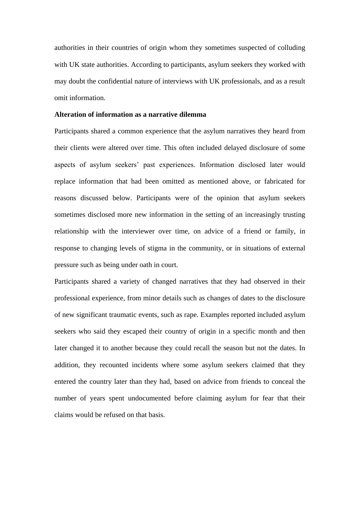authorities in their countries of origin whom they sometimes suspected of colluding with UK state authorities. According to participants, asylum seekers they worked with may doubt the confidential nature of interviews with UK professionals, and as a result omit information.

#### **Alteration of information as a narrative dilemma**

Participants shared a common experience that the asylum narratives they heard from their clients were altered over time. This often included delayed disclosure of some aspects of asylum seekers' past experiences. Information disclosed later would replace information that had been omitted as mentioned above, or fabricated for reasons discussed below. Participants were of the opinion that asylum seekers sometimes disclosed more new information in the setting of an increasingly trusting relationship with the interviewer over time, on advice of a friend or family, in response to changing levels of stigma in the community, or in situations of external pressure such as being under oath in court.

Participants shared a variety of changed narratives that they had observed in their professional experience, from minor details such as changes of dates to the disclosure of new significant traumatic events, such as rape. Examples reported included asylum seekers who said they escaped their country of origin in a specific month and then later changed it to another because they could recall the season but not the dates. In addition, they recounted incidents where some asylum seekers claimed that they entered the country later than they had, based on advice from friends to conceal the number of years spent undocumented before claiming asylum for fear that their claims would be refused on that basis.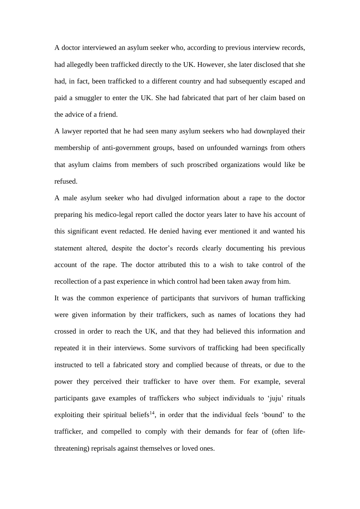A doctor interviewed an asylum seeker who, according to previous interview records, had allegedly been trafficked directly to the UK. However, she later disclosed that she had, in fact, been trafficked to a different country and had subsequently escaped and paid a smuggler to enter the UK. She had fabricated that part of her claim based on the advice of a friend.

A lawyer reported that he had seen many asylum seekers who had downplayed their membership of anti-government groups, based on unfounded warnings from others that asylum claims from members of such proscribed organizations would like be refused.

A male asylum seeker who had divulged information about a rape to the doctor preparing his medico-legal report called the doctor years later to have his account of this significant event redacted. He denied having ever mentioned it and wanted his statement altered, despite the doctor's records clearly documenting his previous account of the rape. The doctor attributed this to a wish to take control of the recollection of a past experience in which control had been taken away from him.

It was the common experience of participants that survivors of human trafficking were given information by their traffickers, such as names of locations they had crossed in order to reach the UK, and that they had believed this information and repeated it in their interviews. Some survivors of trafficking had been specifically instructed to tell a fabricated story and complied because of threats, or due to the power they perceived their trafficker to have over them. For example, several participants gave examples of traffickers who subject individuals to 'juju' rituals exploiting their spiritual beliefs<sup>14</sup>, in order that the individual feels 'bound' to the trafficker, and compelled to comply with their demands for fear of (often lifethreatening) reprisals against themselves or loved ones.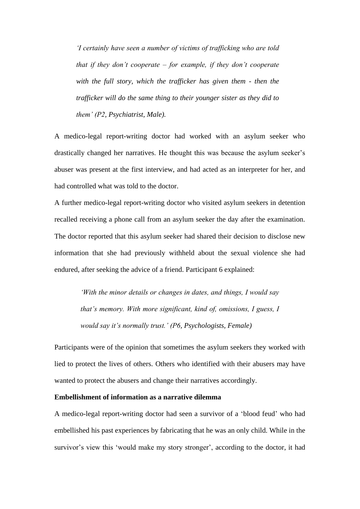*'I certainly have seen a number of victims of trafficking who are told that if they don't cooperate – for example, if they don't cooperate with the full story, which the trafficker has given them - then the trafficker will do the same thing to their younger sister as they did to them' (P2, Psychiatrist, Male).*

A medico-legal report-writing doctor had worked with an asylum seeker who drastically changed her narratives. He thought this was because the asylum seeker's abuser was present at the first interview, and had acted as an interpreter for her, and had controlled what was told to the doctor.

A further medico-legal report-writing doctor who visited asylum seekers in detention recalled receiving a phone call from an asylum seeker the day after the examination. The doctor reported that this asylum seeker had shared their decision to disclose new information that she had previously withheld about the sexual violence she had endured, after seeking the advice of a friend. Participant 6 explained:

> *'With the minor details or changes in dates, and things, I would say that's memory. With more significant, kind of, omissions, I guess, I would say it's normally trust.' (P6, Psychologists, Female)*

Participants were of the opinion that sometimes the asylum seekers they worked with lied to protect the lives of others. Others who identified with their abusers may have wanted to protect the abusers and change their narratives accordingly.

#### **Embellishment of information as a narrative dilemma**

A medico-legal report-writing doctor had seen a survivor of a 'blood feud' who had embellished his past experiences by fabricating that he was an only child. While in the survivor's view this 'would make my story stronger', according to the doctor, it had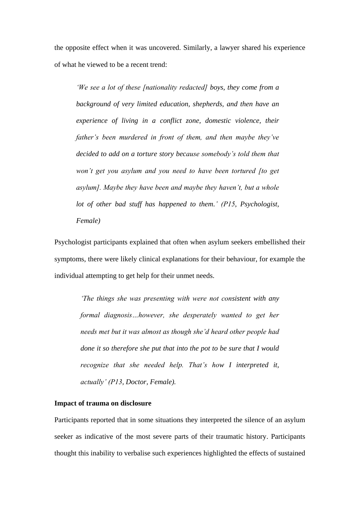the opposite effect when it was uncovered. Similarly, a lawyer shared his experience of what he viewed to be a recent trend:

*'We see a lot of these [nationality redacted] boys, they come from a background of very limited education, shepherds, and then have an experience of living in a conflict zone, domestic violence, their father's been murdered in front of them, and then maybe they've decided to add on a torture story because somebody's told them that won't get you asylum and you need to have been tortured [to get asylum]. Maybe they have been and maybe they haven't, but a whole lot of other bad stuff has happened to them.' (P15, Psychologist, Female)*

Psychologist participants explained that often when asylum seekers embellished their symptoms, there were likely clinical explanations for their behaviour, for example the individual attempting to get help for their unmet needs.

*'The things she was presenting with were not consistent with any formal diagnosis…however, she desperately wanted to get her needs met but it was almost as though she'd heard other people had done it so therefore she put that into the pot to be sure that I would recognize that she needed help. That's how I interpreted it, actually' (P13, Doctor, Female).*

#### **Impact of trauma on disclosure**

Participants reported that in some situations they interpreted the silence of an asylum seeker as indicative of the most severe parts of their traumatic history. Participants thought this inability to verbalise such experiences highlighted the effects of sustained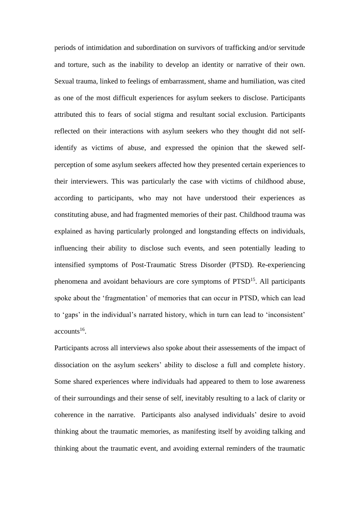periods of intimidation and subordination on survivors of trafficking and/or servitude and torture, such as the inability to develop an identity or narrative of their own. Sexual trauma, linked to feelings of embarrassment, shame and humiliation, was cited as one of the most difficult experiences for asylum seekers to disclose. Participants attributed this to fears of social stigma and resultant social exclusion. Participants reflected on their interactions with asylum seekers who they thought did not selfidentify as victims of abuse, and expressed the opinion that the skewed selfperception of some asylum seekers affected how they presented certain experiences to their interviewers. This was particularly the case with victims of childhood abuse, according to participants, who may not have understood their experiences as constituting abuse, and had fragmented memories of their past. Childhood trauma was explained as having particularly prolonged and longstanding effects on individuals, influencing their ability to disclose such events, and seen potentially leading to intensified symptoms of Post-Traumatic Stress Disorder (PTSD). Re-experiencing phenomena and avoidant behaviours are core symptoms of PTSD<sup>15</sup>. All participants spoke about the 'fragmentation' of memories that can occur in PTSD, which can lead to 'gaps' in the individual's narrated history, which in turn can lead to 'inconsistent'  $accounts<sup>16</sup>$ .

Participants across all interviews also spoke about their assessements of the impact of dissociation on the asylum seekers' ability to disclose a full and complete history. Some shared experiences where individuals had appeared to them to lose awareness of their surroundings and their sense of self, inevitably resulting to a lack of clarity or coherence in the narrative. Participants also analysed individuals' desire to avoid thinking about the traumatic memories, as manifesting itself by avoiding talking and thinking about the traumatic event, and avoiding external reminders of the traumatic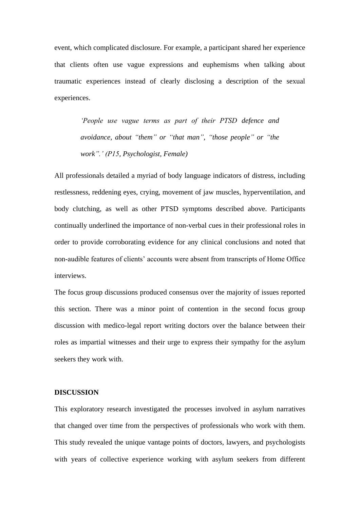event, which complicated disclosure. For example, a participant shared her experience that clients often use vague expressions and euphemisms when talking about traumatic experiences instead of clearly disclosing a description of the sexual experiences.

> *'People use vague terms as part of their PTSD defence and avoidance, about "them" or "that man", "those people" or "the work".' (P15, Psychologist, Female)*

All professionals detailed a myriad of body language indicators of distress, including restlessness, reddening eyes, crying, movement of jaw muscles, hyperventilation, and body clutching, as well as other PTSD symptoms described above. Participants continually underlined the importance of non-verbal cues in their professional roles in order to provide corroborating evidence for any clinical conclusions and noted that non-audible features of clients' accounts were absent from transcripts of Home Office interviews.

The focus group discussions produced consensus over the majority of issues reported this section. There was a minor point of contention in the second focus group discussion with medico-legal report writing doctors over the balance between their roles as impartial witnesses and their urge to express their sympathy for the asylum seekers they work with.

#### **DISCUSSION**

This exploratory research investigated the processes involved in asylum narratives that changed over time from the perspectives of professionals who work with them. This study revealed the unique vantage points of doctors, lawyers, and psychologists with years of collective experience working with asylum seekers from different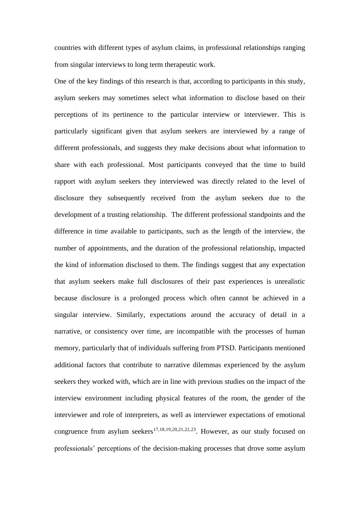countries with different types of asylum claims, in professional relationships ranging from singular interviews to long term therapeutic work.

One of the key findings of this research is that, according to participants in this study, asylum seekers may sometimes select what information to disclose based on their perceptions of its pertinence to the particular interview or interviewer. This is particularly significant given that asylum seekers are interviewed by a range of different professionals, and suggests they make decisions about what information to share with each professional. Most participants conveyed that the time to build rapport with asylum seekers they interviewed was directly related to the level of disclosure they subsequently received from the asylum seekers due to the development of a trusting relationship. The different professional standpoints and the difference in time available to participants, such as the length of the interview, the number of appointments, and the duration of the professional relationship, impacted the kind of information disclosed to them. The findings suggest that any expectation that asylum seekers make full disclosures of their past experiences is unrealistic because disclosure is a prolonged process which often cannot be achieved in a singular interview. Similarly, expectations around the accuracy of detail in a narrative, or consistency over time, are incompatible with the processes of human memory, particularly that of individuals suffering from PTSD. Participants mentioned additional factors that contribute to narrative dilemmas experienced by the asylum seekers they worked with, which are in line with previous studies on the impact of the interview environment including physical features of the room, the gender of the interviewer and role of interpreters, as well as interviewer expectations of emotional congruence from asylum seekers<sup>17,18,19,20,21,22,23</sup>. However, as our study focused on professionals' perceptions of the decision-making processes that drove some asylum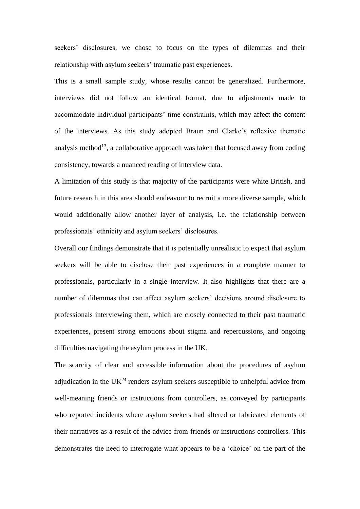seekers' disclosures, we chose to focus on the types of dilemmas and their relationship with asylum seekers' traumatic past experiences.

This is a small sample study, whose results cannot be generalized. Furthermore, interviews did not follow an identical format, due to adjustments made to accommodate individual participants' time constraints, which may affect the content of the interviews. As this study adopted Braun and Clarke's reflexive thematic analysis method<sup>13</sup>, a collaborative approach was taken that focused away from coding consistency, towards a nuanced reading of interview data.

A limitation of this study is that majority of the participants were white British, and future research in this area should endeavour to recruit a more diverse sample, which would additionally allow another layer of analysis, i.e. the relationship between professionals' ethnicity and asylum seekers' disclosures.

Overall our findings demonstrate that it is potentially unrealistic to expect that asylum seekers will be able to disclose their past experiences in a complete manner to professionals, particularly in a single interview. It also highlights that there are a number of dilemmas that can affect asylum seekers' decisions around disclosure to professionals interviewing them, which are closely connected to their past traumatic experiences, present strong emotions about stigma and repercussions, and ongoing difficulties navigating the asylum process in the UK.

The scarcity of clear and accessible information about the procedures of asylum adjudication in the  $UK<sup>24</sup>$  renders asylum seekers susceptible to unhelpful advice from well-meaning friends or instructions from controllers, as conveyed by participants who reported incidents where asylum seekers had altered or fabricated elements of their narratives as a result of the advice from friends or instructions controllers. This demonstrates the need to interrogate what appears to be a 'choice' on the part of the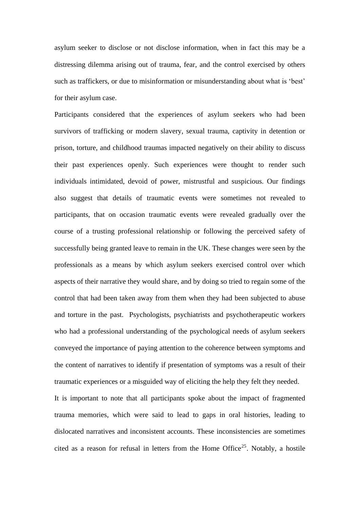asylum seeker to disclose or not disclose information, when in fact this may be a distressing dilemma arising out of trauma, fear, and the control exercised by others such as traffickers, or due to misinformation or misunderstanding about what is 'best' for their asylum case.

Participants considered that the experiences of asylum seekers who had been survivors of trafficking or modern slavery, sexual trauma, captivity in detention or prison, torture, and childhood traumas impacted negatively on their ability to discuss their past experiences openly. Such experiences were thought to render such individuals intimidated, devoid of power, mistrustful and suspicious. Our findings also suggest that details of traumatic events were sometimes not revealed to participants, that on occasion traumatic events were revealed gradually over the course of a trusting professional relationship or following the perceived safety of successfully being granted leave to remain in the UK. These changes were seen by the professionals as a means by which asylum seekers exercised control over which aspects of their narrative they would share, and by doing so tried to regain some of the control that had been taken away from them when they had been subjected to abuse and torture in the past. Psychologists, psychiatrists and psychotherapeutic workers who had a professional understanding of the psychological needs of asylum seekers conveyed the importance of paying attention to the coherence between symptoms and the content of narratives to identify if presentation of symptoms was a result of their traumatic experiences or a misguided way of eliciting the help they felt they needed.

It is important to note that all participants spoke about the impact of fragmented trauma memories, which were said to lead to gaps in oral histories, leading to dislocated narratives and inconsistent accounts. These inconsistencies are sometimes cited as a reason for refusal in letters from the Home Office<sup>25</sup>. Notably, a hostile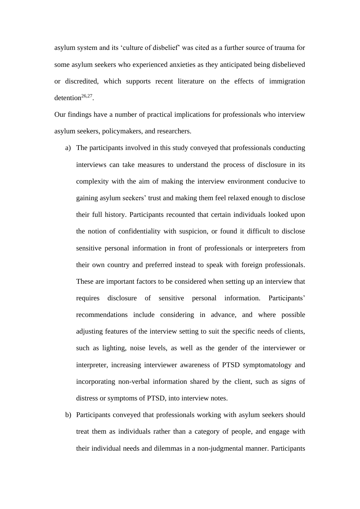asylum system and its 'culture of disbelief' was cited as a further source of trauma for some asylum seekers who experienced anxieties as they anticipated being disbelieved or discredited, which supports recent literature on the effects of immigration detention<sup>26,27</sup>.

Our findings have a number of practical implications for professionals who interview asylum seekers, policymakers, and researchers.

- a) The participants involved in this study conveyed that professionals conducting interviews can take measures to understand the process of disclosure in its complexity with the aim of making the interview environment conducive to gaining asylum seekers' trust and making them feel relaxed enough to disclose their full history. Participants recounted that certain individuals looked upon the notion of confidentiality with suspicion, or found it difficult to disclose sensitive personal information in front of professionals or interpreters from their own country and preferred instead to speak with foreign professionals. These are important factors to be considered when setting up an interview that requires disclosure of sensitive personal information. Participants' recommendations include considering in advance, and where possible adjusting features of the interview setting to suit the specific needs of clients, such as lighting, noise levels, as well as the gender of the interviewer or interpreter, increasing interviewer awareness of PTSD symptomatology and incorporating non-verbal information shared by the client, such as signs of distress or symptoms of PTSD, into interview notes.
- b) Participants conveyed that professionals working with asylum seekers should treat them as individuals rather than a category of people, and engage with their individual needs and dilemmas in a non-judgmental manner. Participants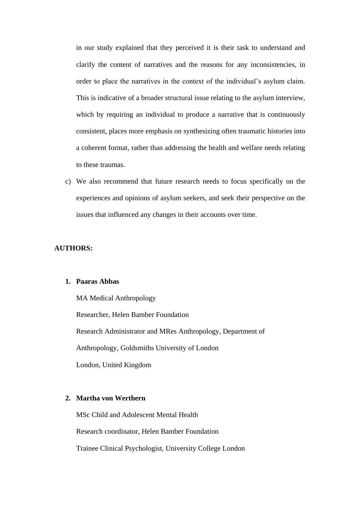in our study explained that they perceived it is their task to understand and clarify the content of narratives and the reasons for any inconsistencies, in order to place the narratives in the context of the individual's asylum claim. This is indicative of a broader structural issue relating to the asylum interview, which by requiring an individual to produce a narrative that is continuously consistent, places more emphasis on synthesizing often traumatic histories into a coherent format, rather than addressing the health and welfare needs relating to these traumas.

c) We also recommend that future research needs to focus specifically on the experiences and opinions of asylum seekers, and seek their perspective on the issues that influenced any changes in their accounts over time.

## **AUTHORS:**

## **1. Paaras Abbas**

MA Medical Anthropology Researcher, Helen Bamber Foundation Research Administrator and MRes Anthropology, Department of Anthropology, Goldsmiths University of London London, United Kingdom

## **2. Martha von Werthern**

MSc Child and Adolescent Mental Health Research coordinator, Helen Bamber Foundation

Trainee Clinical Psychologist, University College London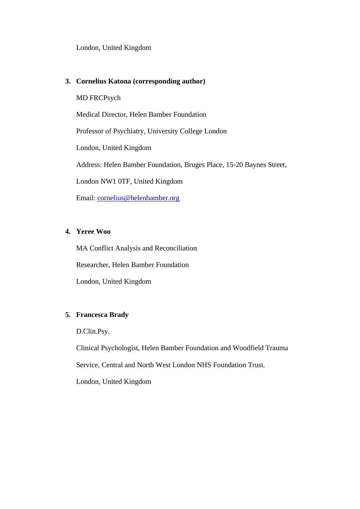London, United Kingdom

## **3. Cornelius Katona (corresponding author)**

MD FRCPsych

Medical Director, Helen Bamber Foundation

Professor of Psychiatry, University College London

London, United Kingdom

Address: Helen Bamber Foundation, Bruges Place, 15-20 Baynes Street,

London NW1 0TF, United Kingdom

Email: [cornelius@helenbamber.org](mailto:cornelius@helenbamber.org)

## **4. Yeree Woo**

MA Conflict Analysis and Reconciliation

Researcher, Helen Bamber Foundation

London, United Kingdom

# **5. Francesca Brady**

D.Clin.Psy.

Clinical Psychologist, Helen Bamber Foundation and Woodfield Trauma

Service, Central and North West London NHS Foundation Trust.

London, United Kingdom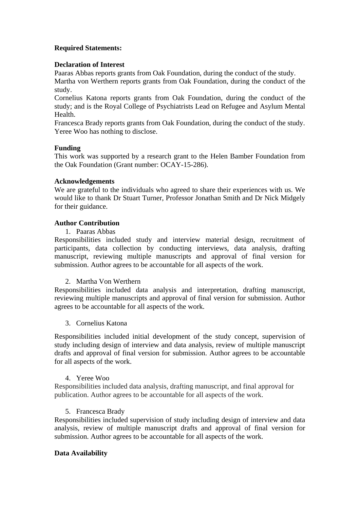# **Required Statements:**

## **Declaration of Interest**

Paaras Abbas reports grants from Oak Foundation, during the conduct of the study. Martha von Werthern reports grants from Oak Foundation, during the conduct of the study.

Cornelius Katona reports grants from Oak Foundation, during the conduct of the study; and is the Royal College of Psychiatrists Lead on Refugee and Asylum Mental Health.

Francesca Brady reports grants from Oak Foundation, during the conduct of the study. Yeree Woo has nothing to disclose.

## **Funding**

This work was supported by a research grant to the Helen Bamber Foundation from the Oak Foundation (Grant number: OCAY-15-286).

## **Acknowledgements**

We are grateful to the individuals who agreed to share their experiences with us. We would like to thank Dr Stuart Turner, Professor Jonathan Smith and Dr Nick Midgely for their guidance.

## **Author Contribution**

1. Paaras Abbas

Responsibilities included study and interview material design, recruitment of participants, data collection by conducting interviews, data analysis, drafting manuscript, reviewing multiple manuscripts and approval of final version for submission. Author agrees to be accountable for all aspects of the work.

## 2. Martha Von Werthern

Responsibilities included data analysis and interpretation, drafting manuscript, reviewing multiple manuscripts and approval of final version for submission. Author agrees to be accountable for all aspects of the work.

## 3. Cornelius Katona

Responsibilities included initial development of the study concept, supervision of study including design of interview and data analysis, review of multiple manuscript drafts and approval of final version for submission. Author agrees to be accountable for all aspects of the work.

## 4. Yeree Woo

Responsibilities included data analysis, drafting manuscript, and final approval for publication. Author agrees to be accountable for all aspects of the work.

## 5. Francesca Brady

Responsibilities included supervision of study including design of interview and data analysis, review of multiple manuscript drafts and approval of final version for submission. Author agrees to be accountable for all aspects of the work.

## **Data Availability**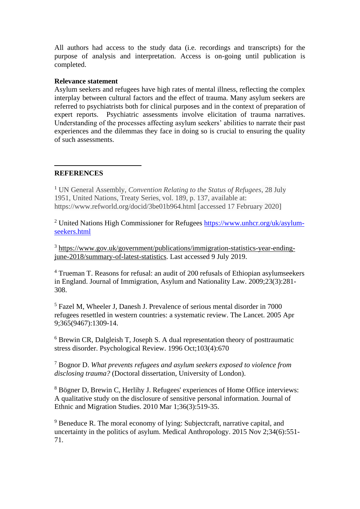All authors had access to the study data (i.e. recordings and transcripts) for the purpose of analysis and interpretation. Access is on-going until publication is completed.

## **Relevance statement**

Asylum seekers and refugees have high rates of mental illness, reflecting the complex interplay between cultural factors and the effect of trauma. Many asylum seekers are referred to psychiatrists both for clinical purposes and in the context of preparation of expert reports. Psychiatric assessments involve elicitation of trauma narratives. Understanding of the processes affecting asylum seekers' abilities to narrate their past experiences and the dilemmas they face in doing so is crucial to ensuring the quality of such assessments.

## **REFERENCES**

<u>.</u>

<sup>1</sup> UN General Assembly, *Convention Relating to the Status of Refugees*, 28 July 1951, United Nations, Treaty Series, vol. 189, p. 137, available at: https://www.refworld.org/docid/3be01b964.html [accessed 17 February 2020]

<sup>2</sup> United Nations High Commissioner for Refugees [https://www.unhcr.org/uk/asylum](https://www.unhcr.org/uk/asylum-seekers.html)[seekers.html](https://www.unhcr.org/uk/asylum-seekers.html)

<sup>3</sup> [https://www.gov.uk/government/publications/immigration-statistics-year-ending](https://www.gov.uk/government/publications/immigration-statistics-year-ending-june-2018/summary-of-latest-statistics)[june-2018/summary-of-latest-statistics.](https://www.gov.uk/government/publications/immigration-statistics-year-ending-june-2018/summary-of-latest-statistics) Last accessed 9 July 2019.

<sup>4</sup> Trueman T. Reasons for refusal: an audit of 200 refusals of Ethiopian asylumseekers in England. Journal of Immigration, Asylum and Nationality Law. 2009;23(3):281- 308.

<sup>5</sup> Fazel M, Wheeler J, Danesh J. Prevalence of serious mental disorder in 7000 refugees resettled in western countries: a systematic review. The Lancet. 2005 Apr 9;365(9467):1309-14.

<sup>6</sup> Brewin CR, Dalgleish T, Joseph S. A dual representation theory of posttraumatic stress disorder. Psychological Review. 1996 Oct;103(4):670

<sup>7</sup> Bognor D. *What prevents refugees and asylum seekers exposed to violence from disclosing trauma?* (Doctoral dissertation, University of London).

<sup>8</sup> Bögner D, Brewin C, Herlihy J. Refugees' experiences of Home Office interviews: A qualitative study on the disclosure of sensitive personal information. Journal of Ethnic and Migration Studies. 2010 Mar 1;36(3):519-35.

<sup>9</sup> Beneduce R. The moral economy of lying: Subjectcraft, narrative capital, and uncertainty in the politics of asylum. Medical Anthropology. 2015 Nov 2;34(6):551- 71.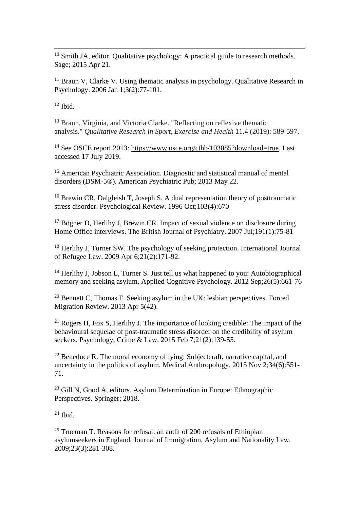<u>.</u>  $10$  Smith JA, editor. Qualitative psychology: A practical guide to research methods. Sage; 2015 Apr 21.

 $11$  Braun V, Clarke V. Using thematic analysis in psychology. Qualitative Research in Psychology. 2006 Jan 1;3(2):77-101.

 $12$  Ibid.

<sup>13</sup> Braun, Virginia, and Victoria Clarke. "Reflecting on reflexive thematic analysis." *Qualitative Research in Sport, Exercise and Health* 11.4 (2019): 589-597.

<sup>14</sup> See OSCE report 2013: [https://www.osce.org/cthb/103085?download=true.](https://www.osce.org/cthb/103085?download=true) Last accessed 17 July 2019.

<sup>15</sup> American Psychiatric Association. Diagnostic and statistical manual of mental disorders (DSM-5®). American Psychiatric Pub; 2013 May 22.

<sup>16</sup> Brewin CR, Dalgleish T, Joseph S. A dual representation theory of posttraumatic stress disorder. Psychological Review. 1996 Oct;103(4):670

<sup>17</sup> Bögner D, Herlihy J, Brewin CR. Impact of sexual violence on disclosure during Home Office interviews. The British Journal of Psychiatry. 2007 Jul;191(1):75-81

<sup>18</sup> Herlihy J, Turner SW. The psychology of seeking protection. International Journal of Refugee Law. 2009 Apr 6;21(2):171-92.

<sup>19</sup> Herlihy J, Jobson L, Turner S. Just tell us what happened to you: Autobiographical memory and seeking asylum. Applied Cognitive Psychology. 2012 Sep;26(5):661-76

<sup>20</sup> Bennett C, Thomas F. Seeking asylum in the UK: lesbian perspectives. Forced Migration Review. 2013 Apr 5(42).

<sup>21</sup> Rogers H, Fox S, Herlihy J. The importance of looking credible: The impact of the behavioural sequelae of post-traumatic stress disorder on the credibility of asylum seekers. Psychology, Crime & Law. 2015 Feb 7;21(2):139-55.

<sup>22</sup> Beneduce R. The moral economy of lying: Subjectcraft, narrative capital, and uncertainty in the politics of asylum. Medical Anthropology. 2015 Nov 2;34(6):551- 71.

<sup>23</sup> Gill N, Good A, editors. Asylum Determination in Europe: Ethnographic Perspectives. Springer; 2018.

 $24$  Ibid.

<sup>25</sup> Trueman T. Reasons for refusal: an audit of 200 refusals of Ethiopian asylumseekers in England. Journal of Immigration, Asylum and Nationality Law. 2009;23(3):281-308.